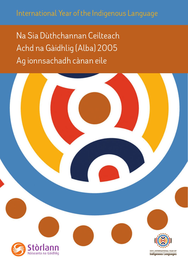Ag ionnsachadh cànan eile Achd na Gàidhlig (Alba) 2005 Na Sia Dùthchannan Ceilteach

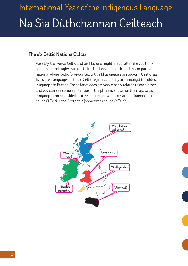# International Year of the Indigenous Language Na Sia Dùthchannan Ceilteach

#### **The six Celtic Nations Cultar**

Possibly, the words Celtic and Six Nations might first of all make you think of football and rugby! But the Celtic Nations are the six nations, or parts of nations, where Celtic (pronounced with a k) languages are spoken. Gaelic has five sister languages in these Celtic regions and they are amongst the oldest languages in Europe. These languages are very closely related to each other and you can see some similarities in the phrases shown on the map. Celtic languages can be divided into two groups or families: Goidelic (sometimes called *Q Celtic*) and Brythonic (sometimes called *P Celtic*).

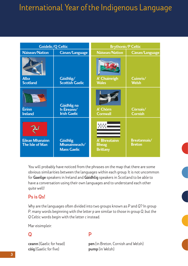| <b>Goidelic/Q Celtic</b>                  |                                                        | <b>Brythonic/P Celtic</b>                        |                               |
|-------------------------------------------|--------------------------------------------------------|--------------------------------------------------|-------------------------------|
| Nàisean/Nation                            | Cànan/Language                                         | Nàisean/Nation                                   | Cànan/Language                |
| <b>Alba</b><br><b>Scotland</b>            | Gàidhlig/<br><b>Scottish Gaelic</b>                    | A' Chuimrigh<br><b>Wales</b>                     | Cuimris/<br><b>Welsh</b>      |
| Èirinn<br><b>Ireland</b>                  | Gàidhlig na<br>h-Eireann/<br><b>Irish Gaelic</b>       | A' Chòrn<br><b>Cornwall</b>                      | Còrnais/<br><b>Cornish</b>    |
| <b>Eilean Mhanainn</b><br>The Isle of Man | <b>Gàidhlig</b><br>Mhanainneach/<br><b>Manx Gaelic</b> | A' Bhreatainn<br><b>Bheag</b><br><b>Brittany</b> | Breatannais/<br><b>Breton</b> |

You will probably have noticed from the phrases on the map that there are some obvious similarities between the languages within each group. It is not uncommon for **Gaeilge** speakers in Ireland and **Gàidhlig** speakers in Scotland to be able to have a conversation using their own languages and to understand each other quite well!

#### **Ps is Qs!**

Why are the languages often divided into two groups known as *P* and *Q*? In group *P*, many words beginning with the letter *p* are similar to those in group *Q*, but the *Q* Celtic words begin with the letter *c* instead.

Mar eisimpleir:

#### **Q P**

**còig** (Gaelic for five) **pump** (in Welsh)

**ceann** (Gaelic for head) **pen** (in Breton, Cornish and Welsh)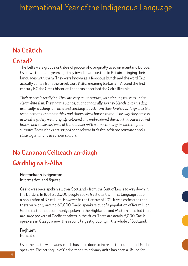## **Na Ceiltich**

### **Cò iad?**

The Celts were groups or tribes of people who originally lived on mainland Europe. Over two thousand years ago they invaded and settled in Britain, bringing their languages with them. They were known as a ferocious bunch and the word Celt actually comes from the Greek word *Keltoi* meaning barbarian! Around the first century BC the Greek historian Diodorus described the Celts like this:

*Their aspect is terrifying. They are very tall in stature, with rippling muscles under clear white skin. Their hair is blonde, but not naturally so: they bleach it, to this day, artificially, washing it in lime and combing it back from their foreheads. They look like wood-demons, their hair thick and shaggy like a horse's mane.… The way they dress is astonishing: they wear brightly coloured and embroidered shirts, with trousers called bracae and cloaks fastened at the shoulder with a brooch, heavy in winter, light in summer. These cloaks are striped or checkered in design, with the separate checks close together and in various colours.*

## **Na Cànanan Ceilteach an-diugh Gàidhlig na h-Alba**

#### **Fiosrachadh is figearan:**

Information and figures

Gaelic was once spoken all over Scotland – from the Butt of Lewis to way down in the Borders. In 1881, 250,000 people spoke Gaelic as their first language out of a population of 3.7 million. However, in the Census of 2011, it was estimated that there were only around 60,000 Gaelic speakers out of a population of five million. Gaelic is still most commonly spoken in the Highlands and Western Isles but there are large pockets of Gaelic speakers in the cities. There are nearly 6,000 Gaelic speakers in Glasgow now, the second largest grouping in the whole of Scotland.

#### **Foghlam:**

#### Education

Over the past few decades, much has been done to increase the numbers of Gaelic speakers. The setting up of Gaelic-medium primary units has been a lifeline for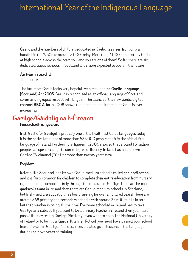Gaelic and the numbers of children educated in Gaelic has risen from only a handful in the 1980s to around 3,000 today! More than 4,000 pupils study Gaelic at high schools across the country – and you are one of them! So far, there are six dedicated Gaelic schools in Scotland with more expected to open in the future.

#### **An t-àm ri teachd:**

The future

The future for Gaelic looks very hopeful. As a result of the **Gaelic Language (Scotland) Act 2005**, Gaelic is recognised as an official language of Scotland, commanding equal respect with English. The launch of the new Gaelic digital channel **BBC Alba** in 2008 shows that demand and interest in Gaelic is ever increasing.

## **Gaeilge/Gàidhlig na h-Èireann**

#### **Fiosrachadh is figearan:**

Irish Gaelic (or Gaeilge) is probably one of the healthiest Celtic languages today. It is the native language of more than 538,000 people and it is the official first language of Ireland. Furthermore, figures in 2006 showed that around 1.8 million people can speak Gaeilge to some degree of fluency. Ireland has had its own Gaeilge TV channel (TG4) for more than twenty years now.

#### **Foghlam:**

Ireland, like Scotland, has its own Gaelic-medium schools called **gaelscoileanna** and it is fairly common for children to complete their entire education from nursery right up to high school entirely through the medium of Gaeilge. There are far more **gaelscoileanna** in Ireland than there are Gaelic-medium schools in Scotland, but Irish-medium education has been running for over a hundred years! There are around 368 primary and secondary schools with around 35,500 pupils in total but that number is rising all the time. Everyone schooled in Ireland has to take Gaeilge as a subject. If you want to be a primary teacher in Ireland then you must pass a fluency test in Gaeilge. Similarly, if you want to go to The National University of Ireland or to be in the **Gardai** (the Irish Police), you must have passed your school leavers' exam in Gaeilge. Police trainees are also given lessons in the language during their two years of training.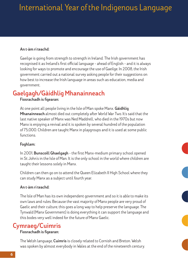#### **An t-àm ri teachd:**

Gaeilge is going from strength to strength in Ireland. The Irish government has recognised it as Ireland's first official language – ahead of English – and it is always looking for ways to promote and encourage the use of Gaeilge. In 2008, the Irish government carried out a national survey asking people for their suggestions on how best to increase the Irish language in areas such as education, media and government.

### **Gaelgagh/Gàidhlig Mhanainneach**

#### **Fiosrachadh is figearan:**

At one point all people living in the Isle of Man spoke Manx. **Gàidhlig Mhanainneach** almost died out completely after World War Two. It's said that the last native speaker of Manx was Ned Maddrell, who died in the 1970s but now Manx is enjoying a revival and it is spoken by several hundred of the population of 75,000. Children are taught Manx in playgroups and it is used at some public functions.

#### **Foghlam:**

In 2001, **Bunscoill Ghaelgagh** – the first Manx-medium primary school opened in St John's in the Isle of Man. It is the only school in the world where children are taught their lessons solely in Manx.

Children can then go on to attend the Queen Elizabeth II High School where they can study Manx as a subject until fourth year.

#### **An t-àm ri teachd:**

The Isle of Man has its own independent government and so it is able to make its own laws and rules. Because the vast majority of Manx people are very proud of Gaelic and their culture, this goes a long way to help preserve the language. The Tynwald (Manx Government) is doing everything it can support the language and this bodes very well indeed for the future of Manx Gaelic.

### **Cymraeg/Cuimris**

#### **Fiosrachadh is figearan:**

The Welsh language, **Cuimris** is closely related to Cornish and Breton. Welsh was spoken by almost everybody in Wales at the end of the nineteenth century.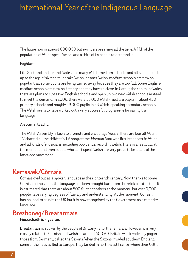The figure now is almost 600,000 but numbers are rising all the time. A fifth of the population of Wales speak Welsh, and a third of its people understand it.

#### **Foghlam:**

Like Scotland and Ireland, Wales has many Welsh-medium schools and all school pupils up to the age of sixteen must take Welsh lessons. Welsh-medium schools are now so popular that some pupils are being turned away because they are too full. Some Englishmedium schools are now half empty and may have to close. In Cardiff, the capital of Wales, there are plans to close two English schools and open up two new Welsh schools instead to meet the demand. In 2006, there were 53,000 Welsh-medium pupils in about 450 primary schools and roughly 49,000 pupils in 53 Welsh-speaking secondary schools. The Welsh seem to have worked out a very successful programme for saving their language.

#### **An t-àm ri teachd:**

The Welsh Assembly is keen to promote and encourage Welsh. There are four all Welsh TV channels – the children's TV programme, *Fireman Sam* was first broadcast in Welsh and all kinds of musicians, including pop bands, record in Welsh. There is a real buzz at the moment and even people who can't speak Welsh are very proud to be a part of the language movement.

### **Kerrawek/Còrnais**

Còrnais died out as a spoken language in the eighteenth century. Now, thanks to some Cornish enthusiasts, the language has been brought back from the brink of extinction. It is estimated that there are about 500 fluent speakers at the moment, but over 3,000 people have varying degrees of fluency and understanding. At the moment, Cornish has no legal status in the UK but it is now recognised by the Government as a minority language.

### **Brezhoneg/Breatannais**

#### **Fiosrachadh is Figearan:**

**Breatannais** is spoken by the people of Brittany in northern France. However, it is very closely related to Cornish and Welsh. In around 600 AD, Britain was invaded by pagan tribes from Germany, called the Saxons. When the Saxons invaded southern England some of the natives fled to Europe. They landed in north-west France, where their Celtic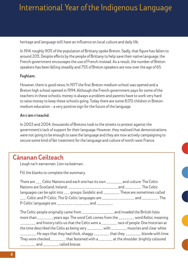heritage and language still have an influence on local culture and daily life.

In 1914, roughly 90% of the population of Brittany spoke Breton. Sadly, that figure has fallen to around 20%. Despite efforts by the people of Brittany to help save their native language, the French government encourages the use of French instead. As a result, the number of Breton speakers has been falling steadily and 75% of Breton speakers are now over the age of 65.

#### **Foghlam:**

However, there is good news. In 1977 the first Breton-medium school was opened and a Breton high school opened in 1994. Although the French government pays for some of the teachers in these schools, money is always a problem and parents have to work very hard to raise money to keep these schools going. Today there are some 8,170 children in Bretonmedium education – a very positive sign for the future of the language.

#### **An t-àm ri teachd:**

In 2003 and 2004, thousands of Bretons took to the streets to protest against the government's lack of support for their language. However, they realised that demonstrations were not going to be enough to save the language and they are now actively campaigning to secure some kind of fair treatment for the language and culture of north-west France.

### **Cànanan Ceilteach**

Leugh na h-earrannan. Lìon na beàrnan.

Fill the blanks to complete the summary.

| There are ___ Celtic Nations and each one has its own ________ and culture. The Celtic    |  |  |  |
|-------------------------------------------------------------------------------------------|--|--|--|
| Nations are Scotland, Ireland, ________, ________, ________ and _______. The Celtic       |  |  |  |
| languages can be split into ___ groups: Goidelic and ________. These are sometimes called |  |  |  |
| ___-Celtic and P-Celtic. The Q-Celtic languages are ________, ________ and ________. The  |  |  |  |
| P-Celtic languages are _________, ________ and ________.                                  |  |  |  |

The Celtic people originally came from \_\_\_\_\_\_\_\_ \_\_\_\_\_\_\_\_ and invaded the British Isles more than \_\_\_\_\_\_\_\_ years ago. The word Celt comes from the \_\_\_\_\_\_\_\_ word *Keltoi*, meaning \_\_\_\_\_\_\_\_ and history tells us that the Celts were a \_\_\_\_\_\_\_\_ race of people. One historian at the time described the Celts as being very \_\_\_\_\_\_\_\_ with \_\_\_\_\_\_\_\_ muscles and clear white  $\frac{1}{1}$  He says that they had thick, shaggy  $\frac{1}{1}$  that they  $\frac{1}{1}$  blonde with lime. They wore checked\_\_\_\_\_\_\_\_ that fastened with a \_\_\_\_\_\_\_ at the shoulder, brightly coloured \_\_\_\_\_\_\_\_ and \_\_\_\_\_\_\_\_ called *bracae*.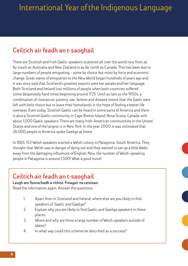## **Ceiltich air feadh an t-saoghail**

There are Scottish and Irish Gaelic speakers scattered all over the world now from as far south as Australia and New Zealand to as far north as Canada. This has been due to large numbers of people emigrating – some by choice, but most by force and economic change. Great waves of emigration to the New World began hundreds of years ago and it was once said that Scotland's greatest exports were her people and her language. Both Scotland and Ireland lost millions of people when both countries suffered some desperately hard times beginning around 1725. Until as late as the 1950s, a combination of clearances, poverty, war, famine and disease meant that the Gaels were left with little choice but to leave their homelands in the hope of finding a better life overseas. Even today, Scottish Gaelic can be heard in some parts of America and there is also a Scottish Gaelic community in Cape Breton Island, Nova Scotia, Canada with about 1,000 Gaelic speakers. There are many Irish-American communities in the United States and one of the largest is in New York. In the year 2000, it was estimated that 26,000 people in America spoke Gaeilge at home.

In 1865, 153 Welsh speakers started a Welsh colony in Patagonia, South America. They thought that Welsh was in danger of dying out and they wanted to set up a *little Wales*  away from the damaging influences of English. Now, the number of Welsh-speaking people in Patagonia is around 1,500! What a good move!

### **Ceiltich air feadh an t-saoghail**

#### **Leugh am fiosrachadh a-rithist. Freagair na ceistean.** Read the information again. Answer the questions.

- - 1. Apart from in Scotland and Ireland, where else are you likely to find speakers of Gaelic and Gaeilge?
	- 2. Explain why you are likely to find Gaelic and Gaeilge speakers in these places.
	- 3. Where and why are there a large number of Welsh speakers outside of Wales?
	- 4. In what way could this scheme be described as a success?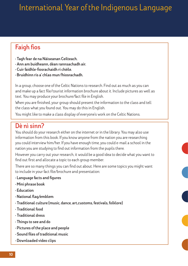## **Faigh fios**

- **Tagh fear de na Nàiseanan Ceilteach.**
- **Ann am buidheann, dèan rannsachadh air.**
- **Cuir faidhle-fiosrachaidh ri chèile.**
- **Bruidhinn ris a' chlas mun fhiosrachadh.**

In a group, choose one of the Celtic Nations to research. Find out as much as you can and make up a fact file/tourist information brochure about it. Include pictures as well as text. You may produce your brochure/fact file in English.

When you are finished, your group should present the information to the class and tell the class what you found out. You may do this in English.

You might like to make a class display of everyone's work on the Celtic Nations.

### **Dè nì sinn?**

You should do your research either on the internet or in the library. You may also use information from this book. If you know anyone from the nation you are researching you could interview him/her. If you have enough time, you could e-mail a school in the nation you are studying to find out information from the pupils there.

However you carry out your research, it would be a good idea to decide what you want to find out first and allocate a topic to each group member.

There are so many things you can find out about. Here are some topics you might want to include in your fact file/brochure and presentation:

- **Language facts and figures**
- **Mini phrase book**
- **Education**
- **National flag/emblem**
- **Traditional culture (music, dance, art,customs, festivals, folklore)**
- **Traditional food**
- **Traditional dress**
- **Things to see and do**
- **Pictures of the place and people**
- **Sound files of traditional music**
- **Downloaded video clips**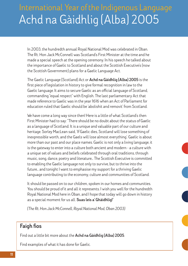## Achd na Gàidhlig (Alba) 2005 International Year of the Indigenous Language

In 2003, the hundredth annual Royal National Mod was celebrated in Oban. The Rt. Hon Jack McConnell was Scotland's First Minister at the time and he made a special speech at the opening ceremony. In his speech he talked about the importance of Gaelic to Scotland and about the Scottish Executive's (now the Scottish Government) plans for a Gaelic Language Act.

The Gaelic Language (Scotland) Act or **Achd na Gàidhlig (Alba) 2005** is the first piece of legislation in history to give formal recognition in law to the Gaelic language. It aims to secure Gaelic as an official language of Scotland, commanding "equal respect" with English. The last parliamentary Act that made reference to Gaelic was in the year 1616 when an Act of Parliament for education ruled that Gaelic should be 'abolishit and removit' from Scotland.

We have come a long way since then! Here is a little of what Scotland's then First Minister had to say: "There should be no doubt about the status of Gaelic as a language of Scotland. It is a unique and valuable part of our culture and heritage. Sorley MacLean said, 'If Gaelic dies, Scotland will lose something of inexpressible worth, and the Gaels will lose almost everything'. Gaelic is about more than our past and our place names. Gaelic is not only a living language, it is the gateway to enter into a culture both ancient and modern - a culture with a unique set of values and beliefs celebrated through oral traditions, through music, song, dance, poetry and literature… The Scottish Executive is committed to enabling the Gaelic language not only to survive, but to thrive into the future… and tonight I want to emphasise my support for a thriving Gaelic language contributing to the economy, culture and communities of Scotland.

It should be passed on to our children, spoken in our homes and communities. You should be proud of it and all it represents. I wish you well for the hundredth Royal National Mod here in Oban, and I hope that today will go down in history as a special moment for us all. **Suas leis a' Ghàidhlig!**"

*(The Rt. Hon Jack McConnell, Royal National Mod, Oban 2003)*

### **Faigh fios**

Find out a little bit more about the **Achd na Gàidhlig (Alba) 2005**.

Find examples of what it has done for Gaelic.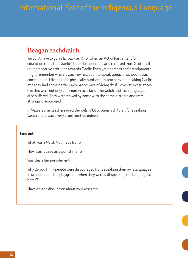### **Beagan eachdraidh**

We don't have to go as far back as 1616 (when an Act of Parliament for education ruled that Gaelic should be abolished and removed from Scotland) to find negative attitudes towards Gaelic. Even your parents and grandparents might remember when it was frowned upon to speak Gaelic in school. It was common for children to be physically punished by teachers for speaking Gaelic and they had some particularly nasty ways of doing this! However, experiences like this were not only common in Scotland. The Welsh and Irish languages also suffered. They were viewed by some with the same distaste and were strongly discouraged.

In Wales, some teachers used the *Welsh Not* to punish children for speaking Welsh and it was a very cruel method indeed.

**Find out:**

What was a *Welsh Not* made from?

How was it used as a punishment?

Was this a fair punishment?

Why do you think people were discouraged from speaking their own languages in school and in the playground when they were still speaking the language at home?

Have a class discussion about your research.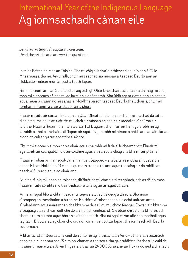## Ag ionnsachadh cànan eile International Year of the Indigenous Language

#### *Leugh an artaigil. Freagair na ceistean.*

Read the article and answer the questions.

Is mise Eàirdsidh Mac an Tòisich. Tha mi còig bliadhn' air fhichead agus 's ann à Cille Mheàrnaig a tha mi. An-uiridh, chuir mi seachad sia mìosan a' teagasg Beurla ann an Hokkaido – eilean mòr far cost a tuath Iapan.

Rinn mi ceum ann an Saidhceòlas aig oithigh Obar Dheathain, ach nuair a dh'fhàg mi cha robh mi cinnteach dè bha mi ag iarraidh a dhèanamh. Bha ùidh agam riamh ann an cànain agus, nuair a chunnaic mi sanas air-loidhne airson teagasg Beurla thall thairis, chuir mi romham m' ainm a chur a-steach air a shon.

Fhuair mi àite air cùrsa TEFL ann an Obar Dheathain far an do chùir mi seachad dà latha slàn air cùrsa agus an uair sin mu cheithir mìosan ag obair air modalan a' chùrsa airloidhne. Nuair a fhuair mi an teisteanas TEFL agam , chuir mi romham gun robh mi ag iarraidh a dhol a dh'obair a dh'Iapan air sgàth 's gun robh mi airson a bhith ann an àite far am biodh an cultar gu tur eadardhealaichte.

Chuir mi a-steach airson corra obair agus cha robh mi fada a' feitheamh idir. Fhuair mi agallamh air ceangal-bhidio air-loidhne agus ann an cola-deug eile bha mi air plèana!

Fhuair mi obair ann an sgoil-cànain ann an Sapporo – am baile as motha air cost an iar dheas Eilean Hokkaido. 'S e baile gu math trang a th' ann agus tha faisg air dà mhillean neach a' fuireach agus ag obair ann.

Nuair a ràinig mi Iapan an toiseach, dh'fhuirich mi còmhla ri teaghlach, ach às dèidh mìos, fhuair mi àite còmhla ri dithis thidsear eile faisg air an sgoil cànain.

Anns an sgoil bha a' chlann eadar trì agus sia bliadhn' deug a dh'aois. Bha mise a' teagasg an fheadhainn a bu shine. Bhithinn a' tòiseachadh aig ochd uairean anns a' mhadainn agus uaireannan cha bhithinn deiseil gu mu chòig feasgar. Corra uair, bhithinn a' teagasg clasaichean oidhche do dh'inbhich cuideachd. 'S e obair chruaidh a bh' ann, ach chòrd e rium gu mòr agus bha an t-airgead math. Bha na sgoilearan uile cho modhail agus laghach. Bhiodh iad ag obair cho cruaidh oir ann an cultur Iapan, tha ionnsachadh Beurla cudromach.

A bharrachd air Beurla, bha cuid den chloinn ag ionnsachadh Ainu – cànan nan tùsanach anns na h-eileannan seo. 'S e mion-chànan a tha seo a tha ga bruidhinn fhathast le cuid de mhuinntir nan eilean. A rèir fhigearan, tha mu 24,000 Ainu ann an Hokkaido ged a chanadh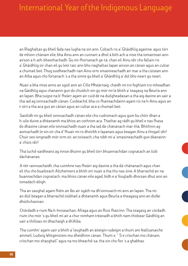an Riaghaltas gu bheil fada nas lugha na sin ann. Coltach ris a' Ghàidhlig againne, agus tòrr de mhion-chànain eile, bha Ainu ann an cunnart a dhol à bith ach a-nise tha iomairtean ann airson a h-ath-bheothachadh. Gu mì-fhortanach ge-tà, chan eil Ainu idir cho fallain ris a' Ghàidhlig oir chan eil gu leòr taic ann bho riaghaltas Iapan airson an cànan agus an cultar a chumail beò. Thug suidheachadh nan Ainu orm smaoineachadh air mar a tha cùisean ann an Alba agus cho fortanach 's a tha sinne gu bheil a' Ghàidhlig a' dol bho neart gu neart.

Nuair a bha mise anns an sgoil ann an Cille Mheàrnaig, chaidh mi tro foghlam tro mheadhan na Gàidhlig agus chanainn gun do chuidich sin gu mòr mi le bhith a' teagasg na Beurla ann an Iapan. Bha tuigse na b' fheàrr agam air cuid de na duilgheadasan a tha aig daoine an uair a tha iad ag ionnsachadh cànan. Cuideachd, bha co-fhaireachdainn agam ris na h-Ainu agus an t-strì a tha aca gus an cànan agus an cultar aca a chumail beò.

Saoilidh mi gu bheil ionnsachadh cànan eile cho cudromach agus gum bu chòir dhan a h-uile duine a dhèanamh ma bhios an cothrom aca. Thathar ag ràdh gu bheil e nas fhasa do dhaoine cànan eile ionnsachadh nuair a tha iad dà-chànanach mar-thà. Bhithinn ag aontachadh le sin oir cha d' fhuair mi ro dhoirbh e Iapanais agus beagan Ainu a thogail idir! Chuir seo iongnadh mòr orm oir, an toiseach, cha robh mi a' smaoineachadh gun dèanainn a' chùis idir!

Tha luchd-saidheans ag innse dhuinn gu bheil tòrr bhuannachdan cognatach an lùib dàchànanas.

A rèir rannsachaidh, tha cuimhne nas fheàrr aig daoine a tha dà-chànanach agus chan eil thu cho buailteach Altzheimers a bhith ort nuair a tha thu nas sine. A bharrachd air na buannachdan cognatach, ma bhios cànan eile agad, bidh e a' fosgladh dhorsan dhut ann an iomadach dòigh.

Tha an saoghal agam fhèin air fàs air sgàth na dh'ionnsaich mi ann an Iapan. Tha mi an dùil beagan a bharrachd siùbhail a dhèanamh agus Beurla a theagasg ann an diofar dhùthchannan.

Chòrdadh e rium Na h-Innseachan, Afraga agus an Ruis fhaicinn. Tha teagasg air còrdadh rium cho mòr 's gu bheil mi air a chur romham trèanadh a bhith nam thidsear Gàidhlig an uair a thilleas mi dhachaigh a dh'Alba.

Tha cuimhn' agam uair a bhith a' leughadh an àiteigin rudeigin a thuirt am feallsanaiche ainmeil, Ludwig Wittgenstein mu dheidhinn cànan. Thuirt e, " 'S e crìochan mo chànain, crìochan mo shaoghail" agus na mo bheachd-sa, tha sin cho fìor 's a ghabhas.